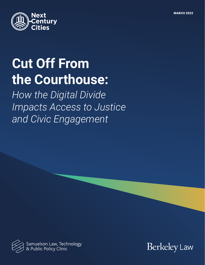

# **Cut Off From the Courthouse:**

*How the Digital Divide Impacts Access to Justice and Civic Engagement*



Samuelson Law, Technology<br>& Public Policy Clinic

**Berkeley Law**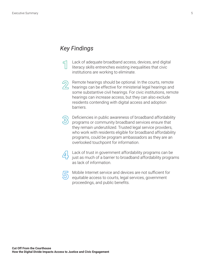### <span id="page-4-0"></span>*Key Findings*

Lack of adequate broadband access, devices, and digital literacy skills entrenches existing inequalities that civic institutions are working to eliminate.



Remote hearings should be optional. In the courts, remote hearings can be effective for ministerial legal hearings and some substantive civil hearings. For civic institutions, remote hearings can increase access, but they can also exclude residents contending with digital access and adoption barriers.



Deficiencies in public awareness of broadband affordability programs or community broadband services ensure that they remain underutilized. Trusted legal service providers, who work with residents eligible for broadband affordability programs, could be program ambassadors as they are an overlooked touchpoint for information.



Lack of trust in government affordability programs can be just as much of a barrier to broadband affordability programs as lack of information.



Mobile Internet service and devices are not sufficient for equitable access to courts, legal services, government proceedings, and public benefits.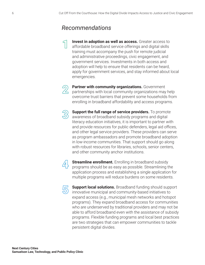## <span id="page-5-0"></span>*Recommendations*

**Invest in adoption as well as access.** Greater access to affordable broadband service offerings and digital skills training must accompany the push for remote judicial and administrative proceedings, civic engagement, and government services. Investments in both access and adoption will help to ensure that residents can be heard, apply for government services, and stay informed about local emergencies.



**Partner with community organizations.** Government partnerships with local community organizations may help overcome trust barriers that prevent some households from enrolling in broadband affordability and access programs.



**Support the full range of service providers.** To promote awareness of broadband subsidy programs and digital literacy education initiatives, it is important to partner with and provide resources for public defenders, legal aid offices, and other legal service providers. These providers can serve as program ambassadors and promote broadband adoption in low-income communities. That support should go along with robust resources for libraries, schools, senior centers, and other community anchor institutions.



**Streamline enrollment.** Enrolling in broadband subsidy programs should be as easy as possible. Streamlining the application process and establishing a single application for multiple programs will reduce burdens on some residents.



**Support local solutions.** Broadband funding should support innovative municipal and community-based initiatives to expand access (e.g., municipal mesh networks and hotspot programs). They expand broadband access for communities who are underserved by traditional providers and may not be able to afford broadband even with the assistance of subsidy programs. Flexible funding programs and local best practices are two strategies that can empower communities to tackle persistent digital divides.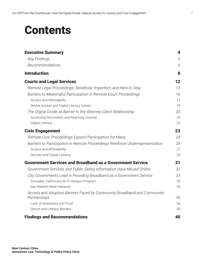## **Contents**

| <b>Executive Summary</b>                                                      | 4  |
|-------------------------------------------------------------------------------|----|
| <b>Key Findings</b>                                                           | 5  |
| Recommendations                                                               | 6  |
| <b>Introduction</b>                                                           | 8  |
| <b>Courts and Legal Services</b>                                              | 12 |
| Remote Legal Proceedings: Beneficial, Imperfect, and Here to Stay             | 13 |
| Barriers to Meaningful Participation in Remote Court Proceedings              | 16 |
| Access and Affordability                                                      | 17 |
| Device Access and Digital Literacy Issues                                     | 18 |
| The Digital Divide as Barrier to the Attorney-Client Relationship             | 20 |
| Accessing Documents and Reaching Counsel                                      | 20 |
| Digital Literacy                                                              | 22 |
| <b>Civic Engagement</b>                                                       | 23 |
| Remote Civic Proceedings Expand Participation for Many                        | 24 |
| Barriers to Participation in Remote Proceedings Reinforce Underrepresentation | 26 |
| Access and Affordability                                                      | 27 |
| Devices and Digital Literacy                                                  | 29 |
| <b>Government Services and Broadband as a Government Service</b>              | 31 |
| Government Services and Public Safety Information Have Moved Online           | 32 |
| City Governments Lead in Providing Broadband as a Government Service          | 33 |
| Gonzales, California's Wi-Fi Hotspot Program                                  | 33 |
| San Rafael's Mesh Network                                                     | 34 |
| Access and Adoption Barriers Faced by Community Broadband and Community       |    |
| Partnerships                                                                  | 36 |
| Lack of Awareness and Trust                                                   | 36 |
| Device and Literacy Barriers                                                  | 38 |
| <b>Findings and Recommendations</b>                                           | 40 |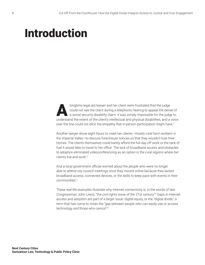## <span id="page-7-0"></span>Introduction

longtime legal aid lawyer and her client were frustrated that the judge<br>could not see the client during a telephonic hearing to appeal the denia<br>a social security disability claim. It was simply impossible for the judge<br>un could not see the client during a telephonic hearing to appeal the denial of a social security disability claim. It was simply impossible for the judge to understand the extent of the client's intellectual and physical disabilities, and a voice over the line could not elicit the empathy that in-person participation might have.<sup>[1](#page-41-0)</sup>

Another lawyer drove eight hours to meet her clients—mostly rural farm workers in the Imperial Valley—to discuss foreclosure notices so that they wouldn't lose their homes. The clients themselves could barely afford the full day off work or the tank of fuel it would take to travel to her office. The lack of broadband access and obstacles to adoption eliminated videoconferencing as an option in the rural regions where her clients live and work.[2](#page-41-0)

And a local government official worried about the people who were no longer able to attend city council meetings once they moved online because they lacked broadband access, connected devices, or the skills to keep pace with events in their communities[.3](#page-41-0)

These real-life examples illustrate why Internet connectivity is, in the words of late Congressman John Lewis, "the civil rights issue of the 21st century."[4](#page-41-0) Gaps in Internet access and adoption are part of a larger issue: digital equity, or the "digital divide," a term that has come to mean the "gap between people who can easily use or access technology and those who cannot."[5](#page-41-0)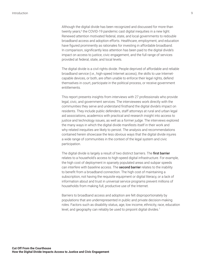<span id="page-8-0"></span>Although the digital divide has been recognized and discussed for more than twenty years,<sup>[6](#page-41-0)</sup> the COVID-19 pandemic cast digital inequities in a new light. Renewed attention motivated federal, state, and local governments to redouble broadband access and adoption efforts. Healthcare, employment, and education have figured prominently as rationales for investing in affordable broadband. In comparison, significantly less attention has been paid to the digital divide's impact on access to justice, civic engagement, and the full range of services provided at federal, state, and local levels.

The digital divide is a civil rights divide. People deprived of affordable and reliable broadband service (i.e., high-speed Internet access), the skills to use Internetcapable devices, or both, are often unable to enforce their legal rights, defend themselves in court, participate in the political process, or receive government entitlements.

This report presents insights from interviews with 27 professionals who provide legal, civic, and government services. The interviewees work directly with the communities they serve and understand firsthand the digital divide's impact on residents. They include public defenders, staff attorneys at rural and urban legal aid associations, academics with practical and research insight into access to justice and technology issues, as well as a former judge. The interviews explored the many ways in which the digital divide manifests itself in their work and why related inequities are likely to persist. The analysis and recommendations contained herein showcase the less obvious ways that the digital divide injures a wide range of communities in the context of the legal system and civic participation.

The digital divide is largely a result of two distinct barriers. The first barrier relates to a household's access to high-speed digital infrastructure. For example, the high cost of deployment in sparsely populated areas and subpar speeds can interfere with baseline access. The second barrier relates to the inability to benefit from a broadband connection. The high cost of maintaining a subscription, not having the requisite equipment or digital literacy, or a lack of information about and trust in universal service programs prevent millions of households from making full, productive use of the Internet.

Barriers to broadband access and adoption are felt disproportionately by populations that are underrepresented in public and private decision-making roles. Factors such as disability status, age, low income, ethnicity, race, education level, and geography can reliably be used to pinpoint digital divides.<sup>7</sup>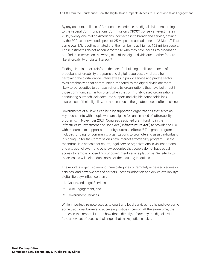<span id="page-9-0"></span>By any account, millions of Americans experience the digital divide. According to the Federal Communications Commission's ("FCC") conservative estimate in 2019, twenty-one million Americans lack "access to broadband service, defined by the FCC as a download speed of 25 Mbps and upload speed of 3 Mbps.["8](#page-41-0) That same year, Microsoft estimated that the number is as high as 162 million people.<sup>9</sup> These estimates do not account for those who may have access to broadband but find themselves on the wrong side of the digital divide due to other factors like affordability or digital literacy.<sup>10</sup>

Findings in this report reinforce the need for building public awareness of broadband affordability programs and digital resources, a vital step for narrowing the digital divide. Interviewees in public service and private sector roles emphasized that communities impacted by the digital divide are more likely to be receptive to outreach efforts by organizations that have built trust in those communities. Far too often, when the community-based organizations conducting outreach lack adequate support and eligible households lack awareness of their eligibility, the households in the greatest need suffer in silence.

Governments at all levels can help by supporting organizations that serve as key touchpoints with people who are eligible for, and in need of, affordability programs. In November 2021, Congress assigned grant funding in the Infrastructure Investment and Jobs Act ("Infrastructure Act") to provide the FCC with resources to support community outreach efforts.<sup>[11](#page-41-0)</sup> The grant program includes funding for community organizations to promote and assist individuals in signing up for the Commission's new Internet affordability program[.12](#page-41-0) In the meantime, it is critical that courts, legal service organizations, civic institutions, and city councils—among others—recognize that people do not have equal access to remote proceedings or government service platforms. Sensitivity to these issues will help reduce some of the resulting inequities.

The report is organized around three categories of remotely accessed venues or services, and how two sets of barriers—access/adoption and device availability/ digital literacy—influence them:

- 1. Courts and Legal Services,
- 2. Civic Engagement, and
- 3. Government Services.

While imperfect, remote access to court and legal services has helped overcome some traditional barriers to accessing justice in person. At the same time, the stories in this report illustrate how those directly affected by the digital divide face a new set of access challenges that make justice elusive.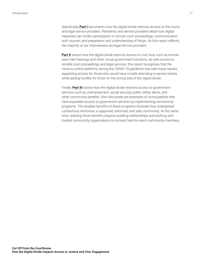Specifically, **[Part I](#page-11-1)** documents how the digital divide restricts access to the courts and legal service providers. Residents and service providers detail how digital inequities can hinder participation in remote court proceedings, communication with counsel, and preparation and understanding of filings. As this report reflects, the majority of our interviewees are legal service providers.

**[Part II](#page-22-1)** shows how the digital divide restricts access to civic fora, such as remote town hall meetings and other virtual government functions. As with access to remote court proceedings and legal services, this report recognizes that the move to online platforms during the COVID-19 pandemic has had mixed results, expanding access for those who would have trouble attending in-person events while adding hurdles for those on the wrong side of the digital divide.

Finally, **[Part III](#page-30-1)** shows how the digital divide restricts access to government services such as unemployment, social security, public safety alerts, and other community benefits. Also discussed are examples of municipalities that have expanded access to government services by implementing connectivity programs. The tangible benefits of these programs illustrate how widespread connectivity reinforces a supported, informed, and safe community. At the same time, realizing those benefits requires building relationships and working with trusted community organizations to connect hard-to-reach community members.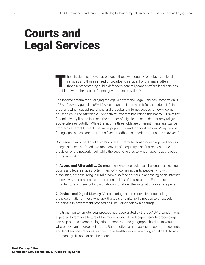## <span id="page-11-1"></span><span id="page-11-0"></span>Courts and Legal Services

There is significant overlap between those who qualify for subsidized legal<br>services and those in need of broadband service. For criminal matters,<br>those represented by public defenders generally cannot afford legal service services and those in need of broadband service. For criminal matters, those represented by public defenders generally cannot afford legal services outside of what the state or federal government provides.<sup>[13](#page-41-0)</sup>

The income criteria for qualifying for legal aid from the Legal Services Corporation is 125% of poverty guidelines<sup>14</sup>-10% less than the income limit for the federal Lifeline program, which subsidizes phone and broadband Internet access for low-income households.[15](#page-41-0) The Affordable Connectivity Program has raised this bar to 200% of the federal poverty limit to increase the number of eligible households that may fall just above Lifeline's cutoff.[16](#page-41-0) While the income thresholds are different, these assistance programs attempt to reach the same population, and for good reason. Many people facing legal issues cannot afford a fixed broadband subscription, let alone a lawyer.<sup>[17](#page-41-0)</sup>

Our research into the digital divide's impact on remote legal proceedings and access to legal services surfaced two main drivers of inequality. The first relates to the provision of the network itself while the second relates to what happens at the edge of the network:

**1. Access and Affordability.** Communities who face logistical challenges accessing courts and legal services (oftentimes low-income residents, people living with disabilities, or those living in rural areas) also face barriers in accessing basic Internet connectivity. In some cases, the problem is lack of infrastructure. For others, the infrastructure is there, but individuals cannot afford the installation or service price.

**2. Devices and Digital Literacy.** Video hearings and remote client counseling are problematic for those who lack the tools or digital skills needed to effectively participate in government proceedings, including their own hearings.

The transition to remote legal proceedings, accelerated by the COVID-19 pandemic, is expected to remain a fixture of the modern judicial landscape. Remote proceedings can help parties overcome logistical, economic, and geographic barriers to venues where they can enforce their rights. But effective remote access to court proceedings and legal services requires sufficient bandwidth, device capability, and digital literacy to meaningfully appear and be heard.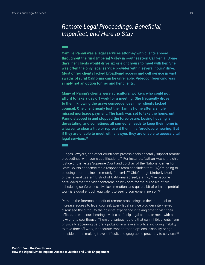## <span id="page-12-0"></span>Remote Legal Proceedings: Beneficial, Imperfect, and Here to Stay

Camille Pannu was a legal services attorney with clients spread throughout the rural Imperial Valley in southeastern California. Some days, her clients would drive six or eight hours to meet with her. She was often the only legal service provider within several hours' drive. Most of her clients lacked broadband access and cell service in vast swaths of rural California can be unreliable. Videoconferencing was simply not an option for her and her clients.

Many of Pannu's clients were agricultural workers who could not afford to take a day off work for a meeting. She frequently drove to them, knowing the grave consequences if her clients lacked counsel. One client nearly lost their family home after a single missed mortgage payment. The bank was set to take the home, until Pannu stepped in and stopped the foreclosure. Losing housing is devastating, and sometimes all someone needs to keep their home is a lawyer to clear a title or represent them in a foreclosure hearing. But if they are unable to meet with a lawyer, they are unable to access vital legal services.<sup>18</sup>

Judges, lawyers, and other courtroom professionals generally support remote proceedings, with some qualifications.<sup>19</sup> For instance, Nathan Hecht, the chief justice of the Texas Supreme Court and co-chair of the National Center for State Courts pandemic rapid response team concluded that "[W]e're going to be doing court business remotely forever[.]"<sup>20</sup> Chief Judge Kimberly Mueller of the federal Eastern District of California agreed, stating, "I've become persuaded that the videoconferencing by Zoom for the purposes of civil scheduling conferences, civil law in motion, and quite a bit of criminal pretrial work is a good enough equivalent to seeing someone in person."21

Perhaps the foremost benefit of remote proceedings is their potential to increase access to legal counsel. Every legal service provider interviewed discussed the difficulty their clients experience in taking time to visit their offices, attend court hearings, visit a self-help legal center, or meet with a lawyer at a courthouse. There are various factors that can inhibit clients from physically appearing before a judge or in a lawyer's office, including inability to take time off work, inadequate transportation options, disability or age considerations making travel difficult, and geographic proximity to services.<sup>22</sup>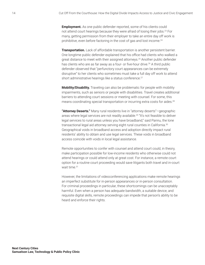<span id="page-13-0"></span>**Employment.** As one public defender reported, some of his clients could not attend court hearings because they were afraid of losing their jobs.<sup>23</sup> For many, getting permission from their employer to take an entire day off work is prohibitive, even before factoring in the cost of gas and lost income.<sup>24</sup>

**Transportation.** Lack of affordable transportation is another persistent barrier. One longtime public defender explained that his office had clients who walked a great distance to meet with their assigned attorneys[.25](#page-42-0) Another public defender has clients who are as far away as a four- or five-hour drive.<sup>[26](#page-42-0)</sup> A third public defender observed that "perfunctory court appearances can be extremely disruptive" to her clients who sometimes must take a full day off work to attend short administrative hearings like a status conference.<sup>27</sup>

**Mobility/Disability.** Traveling can also be problematic for people with mobility impairments, such as seniors or people with disabilities. Travel creates additional barriers to attending court sessions or meeting with counsel. For some, this means coordinating special transportation or incurring extra costs for aides.<sup>28</sup>

**"Attorney Deserts."** Many rural residents live in "attorney deserts"—geographic areas where legal services are not readily available.<sup>29</sup> "It's not feasible to deliver legal services to rural areas unless you have broadband," said Pannu, the lone transactional legal aid attorney serving eight rural counties in California.<sup>30</sup> Geographical voids in broadband access and adoption directly impact rural residents' ability to obtain and use legal services. These voids in broadband access coincide with voids in local legal assistance.

Remote opportunities to confer with counsel and attend court could, in theory, make participation possible for low-income residents who otherwise could not attend hearings or could attend only at great cost. For instance, a remote court option for a routine court proceeding would save litigants both travel and in-court wait time<sup>31</sup>

However, the limitations of videoconferencing applications make remote hearings an imperfect substitute for in-person appearances or in-person consultation. For criminal proceedings in particular, these shortcomings can be unacceptably harmful. Even when a person has adequate bandwidth, a suitable device, and requisite digital skills, remote proceedings can impede that person's ability to be heard and enforce their rights.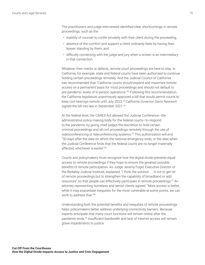<span id="page-14-0"></span>The practitioners and judge interviewed identified clear shortcomings in remote proceedings, such as the:

- inability of counsel to confer privately with their client during the proceeding,
- absence of the comfort and support a client ordinarily feels by having their lawyer standing by them, and
- difficulty connecting with the judge and jury when a screen is an intermediary in that connection.

Whatever their merits or defects, remote court proceedings are here to stay. In California, for example, state and federal courts have been authorized to continue holding certain proceedings remotely. And the Judicial Council of California has recommended that "California courts should expand and maximize remote access on a permanent basis for most proceedings and should not default to pre-pandemic levels of in-person operations."<sup>[32](#page-42-0)</sup> Following this recommendation, the California legislature unanimously approved a bill that would permit courts to keep civil hearings remote until July 2023.<sup>[33](#page-42-0)</sup> California Governor Gavin Newsom signed the bill into law in September 2021.<sup>[34](#page-42-0)</sup>

At the federal level, the CARES Act allowed the Judicial Conference—the administrative policy-making body for the federal courts—to respond to the pandemic by giving chief judges the discretion to hold certain criminal proceedings and all civil proceedings remotely through the use of videoconferencing or teleconferencing systems[.35](#page-42-0) This authorization will end "30 days after the date on which the national emergency ends, or the date when the Judicial Conference finds that the federal courts are no longer materially affected, whichever is earlier.["36](#page-42-0)

Courts and policymakers must recognize how the digital divide prevents equal access to remote proceedings if they hope to ensure the greatest possible benefits of remote participation. As Judge Jeremy Fogel, Executive Director of the Berkeley Judicial Institute, explained, "I think the solution . . . is not to get rid of remote proceedings but to strengthen the capability of broadband or add resources" so that people can effectively participate in remote proceedings.<sup>37</sup> An attorney representing homeless and senior clients agreed: "More access is better, while it may exacerbate inequities for the most vulnerable at some points, we can work to address that."[38](#page-42-0)

Understanding both the potential benefits and inequities of remote proceedings helps policymakers better address underlying connectivity barriers. Because experts anticipate that many court functions will remain online after the pandemic ends[,39](#page-42-0) insufficient bandwidth and lack of Internet access will remain grave impediments to justice.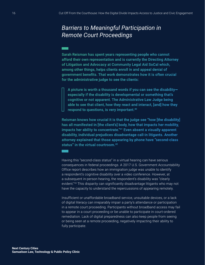## <span id="page-15-0"></span>**Barriers to Meaningful Participation in Remote Court Proceedings**

Sarah Reisman has spent years representing people who cannot afford their own representation and is currently the Directing Attorney of Litigation and Advocacy at Community Legal Aid SoCal which, among other things, helps clients enroll in and appeal denial of government benefits. That work demonstrates how it is often crucial for the administrative judge to see the clients:

A picture is worth a thousand words if you can see the disabilityespecially if the disability is developmental or something that's cognitive or not apparent. The Administrative Law Judge being able to see that client, how they react and interact, [and] how they respond to questions, is very important.<sup>40</sup>

Reisman knows how crucial it is that the judge see "how [the disability] has all manifested in [the client's] body, how that impacts her mobility, impacts her ability to concentrate."<sup>41</sup> Even absent a visually apparent disability, individual prejudices disadvantage call-in litigants. Another attorney explained that those appearing by phone have "second-class status" in the virtual courtroom.<sup>42</sup>

Having this "second-class status" in a virtual hearing can have serious consequences in federal proceedings. A 2017 U.S. Government Accountability Office report describes how an immigration judge was unable to identify a respondent's cognitive disability over a video conference. However, at a subsequent in-person hearing, the respondent's disability was "clearly evident."<sup>43</sup> This disparity can significantly disadvantage litigants who may not have the capacity to understand the repercussions of appearing remotely.

Insufficient or unaffordable broadband service, unsuitable devices, or a lack of digital literacy can irreparably impair a party's attendance or participation in a remote court proceeding. Participants without broadband access may fail to appear in a court proceeding or be unable to participate in court-ordered remediation. Lack of digital preparedness can also keep people from seeing or being seen at a remote proceeding, negatively impacting their ability to fully participate.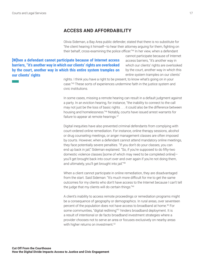### **ACCESS AND AFFORDABILITY**

Olivia Sideman, a Bay Area public defender, stated that there is no substitute for "the client hearing it himself—to hear their attorney arguing for them, fighting on their behalf, cross-examining the police officer.["44](#page-42-0) In her view, when a defendant

<span id="page-16-0"></span>**[W]hen a defendant cannot participate because of Internet access barriers, "it's another way in which our clients' rights are overlooked by the court, another way in which this entire system tramples on our clients' rights**

cannot participate because of Internet access barriers, "it's another way in which our clients' rights are overlooked by the court, another way in which this entire system tramples on our clients'

rights. I think you have a right to be present, to know what's going on in your case.["45](#page-42-0) These sorts of experiences undermine faith in the justice system and civic institutions.

In some cases, missing a remote hearing can result in a default judgment against a party. In an eviction hearing, for instance, "the inability to connect to the call may not just be the loss of basic rights . . . it could also be the difference between housing and homelessness.["46](#page-42-0) Notably, courts have issued arrest warrants for failure to appear at remote hearings.<sup>47</sup>

Digital inequities have also prevented criminal defendants from complying with court-ordered online remediation. For instance, online therapy sessions, alcohol or drug counseling meetings, or anger management classes are often imposed by courts. However, when a defendant cannot attend mandatory online meetings, they face potentially severe penalties. "If you don't do your classes, you can end up back in jail," Sideman explained. "So, if you're supposed to do fifty-two domestic violence classes [some of which may need to be completed online] you'll get brought back into court over and over again if you're not doing them, and ultimately, you'll get brought into jail."[48](#page-42-0)

When a client cannot participate in online remediation, they are disadvantaged from the start. Said Sideman: "It's much more difficult for me to get the same outcomes for my clients who don't have access to the Internet because I can't tell the judge that my clients will do certain things.["49](#page-42-0)

A client's inability to access remote proceedings or remediation programs might be a consequence of geography or demographics. In rural areas, over seventeen percent of the population does not have access to broadband at home.<sup>50</sup> For some communities, "digital redlining"<sup>[51](#page-43-0)</sup> hinders broadband deployment. It is a result of intentional or de facto broadband investment strategies where a provider chooses not to serve an area or focuses exclusively on nearby areas with higher returns on investment.<sup>[52](#page-43-0)</sup>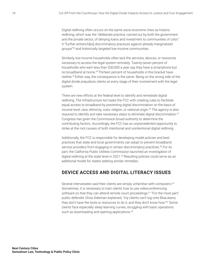<span id="page-17-0"></span>Digital redlining often occurs on the same socio-economic lines as historic redlining, which was the "deliberate practice, carried out by both the government and the private sector, of denying loans and investment to communities of color." It "further entrench[es] discriminatory practices against already marginalized groups["53 a](#page-43-0)nd historically targeted low-income communities.

Similarly, low-income households often lack the services, devices, or resources necessary to access the legal system remotely. Twenty-seven percent of households who earn less than \$30,000 a year say they have a smartphone but no broadband at home.<sup>54</sup> Thirteen percent of households in this bracket have neither[.55](#page-43-0) Either way, the consequence is the same. Being on the wrong side of the digital divide prejudices clients at every stage of their involvement with the legal system.

There are new efforts at the federal level to identify and remediate digital redlining. The Infrastructure Act tasks the FCC with creating rules to facilitate equal access to broadband by preventing digital discrimination on the basis of income level, race, ethnicity, color, religion, or national origin.<sup>[56](#page-43-0)</sup> The agency is also required to identify and take necessary steps to eliminate digital discrimination.<sup>57</sup> Congress has given the Commission broad authority to determine the contributing factors. Accordingly, the FCC has an unprecedented opportunity to strike at the root causes of both intentional and unintentional digital redlining.

Additionally, the FCC is responsible for developing model policies and best practices that state and local governments can adopt to prevent broadband service providers from engaging in certain discriminatory practices.<sup>58</sup> For its part, the California Public Utilities Commission launched an investigation of digital redlining at the state level in 2021.<sup>59</sup> Resulting policies could serve as an additional model for states seeking similar remedies.

### **DEVICE ACCESS AND DIGITAL LITERACY ISSUES**

Several interviewees said their clients are simply unfamiliar with computers.<sup>[60](#page-43-0)</sup> Sometimes, it is necessary to train clients how to use videoconferencing software so that they can attend remote court proceedings.<sup>61</sup> "For the most part," public defender Olivia Sideman explained, "my clients can't log onto BlueJeans; they don't have the tools or resources to do it, and they don't know how.["62](#page-43-0) Some clients face especially steep learning curves, struggling with basic operations such as downloading and opening applications.<sup>63</sup>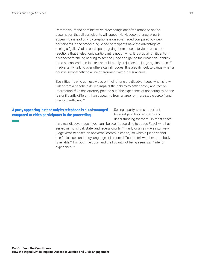<span id="page-18-0"></span>Remote court and administrative proceedings are often arranged on the assumption that all participants will appear via videoconference. A party appearing instead only by telephone is disadvantaged compared to video participants in the proceeding. Video participants have the advantage of seeing a "gallery" of all participants, giving them access to visual cues and reactions that a telephonic participant is not privy to. It is crucial for litigants in a videoconferencing hearing to see the judge and gauge their reaction. Inability to do so can lead to mistakes, and ultimately prejudice the judge against them.<sup>[64](#page-43-0)</sup> Inadvertently talking over others can irk judges. It is also difficult to gauge when a court is sympathetic to a line of argument without visual cues.

Even litigants who can use video on their phone are disadvantaged when shaky video from a handheld device impairs their ability to both convey and receive information.[65](#page-43-0) As one attorney pointed out, "the experience of appearing by phone is significantly different than appearing from a larger or more stable screen" and plainly insufficient.<sup>[66](#page-43-0)</sup>

### **A party appearing instead only by telephone is disadvantaged compared to video participants in the proceeding.**

Seeing a party is also important for a judge to build empathy and understanding for them. "In most cases

it's a real disadvantage if you can't be seen," according to Judge Fogel, who has served in municipal, state, and federal courts.<sup>67</sup> "Fairly or unfairly, we intuitively judge veracity based on nonverbal communication," so when a judge cannot see facial cues and body language, it is more difficult to tell whether somebody is reliable.[68](#page-43-0) For both the court and the litigant, not being seen is an "inferior experience.["69](#page-43-0)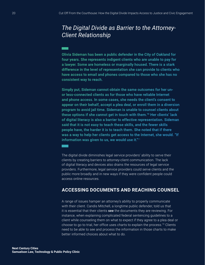## <span id="page-19-0"></span>The Digital Divide as Barrier to the Attorney-**Client Relationship**

Olivia Sideman has been a public defender in the City of Oakland for four years. She represents indigent clients who are unable to pay for a lawyer. Some are homeless or marginally housed. There is a stark difference in the level of representation she can provide to clients who have access to email and phones compared to those who she has no consistent way to reach.

Simply put, Sideman cannot obtain the same outcomes for her unor less-connected clients as for those who have reliable Internet and phone access. In some cases, she needs the client's consent to appear on their behalf, accept a plea deal, or enroll them in a diversion program to avoid jail time. Sideman is unable to counsel clients about these options if she cannot get in touch with them.<sup>70</sup> Her clients' lack of digital literacy is also a barrier to effective representation. Sideman said that it is not easy to teach these skills, and the fewer skills people have, the harder it is to teach them. She noted that if there was a way to help her clients get access to the Internet, she would. "If information was given to us, we would use it."71

The digital divide diminishes legal service providers' ability to serve their clients by creating barriers to attorney-client communication. The lack of digital literacy and devices also drains the resources of legal service providers. Furthermore, legal service providers could serve clients and the public more broadly and in new ways if they were confident people could access online resources.

### **ACCESSING DOCUMENTS AND REACHING COUNSEL**

A range of issues hamper an attorney's ability to properly communicate with their client. Candis Mitchell, a longtime public defender, told us that it is essential that their clients see the documents they are reviewing. For instance, when explaining complicated federal sentencing guidelines to a client while counseling them on what to expect if they agree to a plea deal or choose to go to trial, her office uses charts to explain the process.<sup>72</sup> Clients need to be able to see and process the information in those charts to make better informed choices about what to do.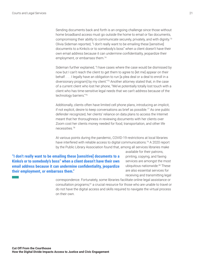<span id="page-20-0"></span>Sending documents back and forth is an ongoing challenge since those without home broadband access must go outside the home to email or fax documents, compromising their ability to communicate securely, privately, and with dignity.[73](#page-43-0) Olivia Sideman reported, "I don't really want to be emailing these [sensitive] documents to a Kinko's or to somebody's boss" when a client doesn't have their own email address because it can undermine confidentiality, jeopardize their employment, or embarrass them.<sup>[74](#page-44-0)</sup>

Sideman further explained, "I have cases where the case would be dismissed by now but I can't reach the client to get them to agree to [let me] appear on their behalf.... I legally have an obligation to run [a plea deal or a deal to enroll in a diversionary program] by my client."[75](#page-44-0) Another attorney stated that, in the case of a current client who lost her phone, "We've potentially totally lost touch with a client who has time-sensitive legal needs that we can't address because of the technology barriers.["76](#page-44-0)

Additionally, clients often have limited cell phone plans, introducing an implicit, if not explicit, desire to keep conversations as brief as possible.<sup>[77](#page-44-0)</sup> As one public defender recognized, her clients' reliance on data plans to access the Internet meant that her thoroughness in reviewing documents with her clients over Zoom cost her clients money needed for food, transportation, and other life necessities.[78](#page-44-0)

At various points during the pandemic, COVID-19 restrictions at local libraries have interfered with reliable access to digital communications.<sup>79</sup> A 2020 report by the Public Library Association found that, among all services libraries make

**"I don't really want to be emailing these [sensitive] documents to a Kinko's or to somebody's boss" when a client doesn't have their own**  *<u><b>email* address because it can undermine confidentiality, jeopardize</u> **their employment, or embarrass them."**

available for their patrons, printing, copying, and faxing services are amongst the most ubiquitous nationwide.<sup>[80](#page-44-0)</sup> These are also essential services for receiving and transmitting legal

correspondence. Fortunately, some libraries facilitate online legal assistance or consultation programs[,81](#page-44-0) a crucial resource for those who are unable to travel or do not have the digital access and skills required to navigate the virtual process on their own.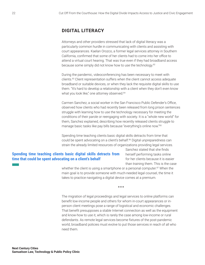### <span id="page-21-0"></span>**DIGITAL LITERACY**

Attorneys and other providers stressed that lack of digital literacy was a particularly common hurdle in communicating with clients and assisting with court appearances. Kaelan Orozco, a former legal services attorney in Southern California, confirmed that some of her clients had to come into her office to attend a virtual court hearing. That was true even if they had broadband access because some simply did not know how to use the technology[.82](#page-44-0)

During the pandemic, videoconferencing has been necessary to meet with clients[.83](#page-44-0) Client representation suffers when the client cannot access adequate broadband or suitable devices, or when they lack the requisite digital skills to use them. "It's hard to develop a relationship with a client when they don't even know what you look like," one attorney observed.<sup>84</sup>

Carmen Sanchez, a social worker in the San Francisco Public Defender's Office, observed how clients who had recently been released from long prison sentences struggle with learning how to use the technology necessary for meeting the conditions of their parole or reengaging with society. It is a "whole new world" for them, Sanchez explained, describing how recently released clients struggle to manage basic tasks like pay bills because "everything's online now.["85](#page-44-0)

Spending time teaching clients basic digital skills detracts from time that could be spent advocating on a client's behalf.<sup>[86](#page-44-0)</sup> Digital unpreparedness can strain the already limited resources of organizations providing legal services.

### **Spending time teaching clients basic digital skills detracts from time that could be spent advocating on a client's behalf**

Sanchez stated that she finds herself performing tasks online for her clients because it is easier than training them. This is the case

whether the client is using a smartphone or a personal computer.<sup>[87](#page-44-0)</sup> When the main goal is to provide someone with much-needed legal counsel, the time it takes to practice navigating a digital device comes at a premium.

\*\*\*

The migration of legal proceedings and legal services to online platforms can benefit low-income people and others for whom in-court appearances or inperson client meetings pose a range of logistical and economic challenges. That benefit presupposes a stable Internet connection as well as the equipment and know-how to use it, which is rarely the case among low-income or rural defendants. As remote legal services become fixtures of the post-pandemic world, broadband policies must evolve to put those services in reach of all who need them.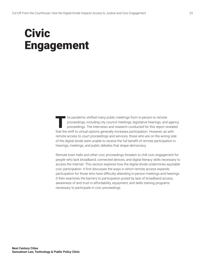## <span id="page-22-1"></span><span id="page-22-0"></span>Civic Engagement

The pandemic shifted many public meetings from in-person to remote<br>proceedings, including city council meetings, legislative hearings, and<br>proceedings. The interviews and research conducted for this report re<br>that the obje proceedings, including city council meetings, legislative hearings, and agency proceedings. The interviews and research conducted for this report revealed that the shift to virtual options generally increases participation. However, as with remote access to court proceedings and services, those who are on the wrong side of the digital divide were unable to receive the full benefit of remote participation in hearings, meetings, and public debates that shape democracy.

Remote town halls and other civic proceedings threaten to chill civic engagement for people who lack broadband, connected devices, and digital literacy skills necessary to access the Internet. This section explores how the digital divide undermines equitable civic participation. It first discusses the ways in which remote access expands participation for those who have difficulty attending in-person meetings and hearings. It then examines the barriers to participation posed by lack of broadband access, awareness of and trust in affordability, equipment, and skills training programs necessary to participate in civic proceedings.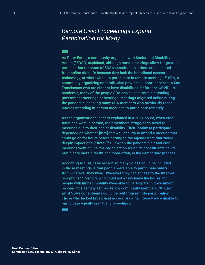### <span id="page-23-0"></span>**Remote Civic Proceedings Expand Participation for Many**

As Peter Estes, a community organizer with Senior and Disability Action ("SDA"), explained, although remote hearings allow for greater participation for some of SDA's constituents, others are alienated from online civic life because they lack the broadband access, technology, or wherewithal to participate in remote meetings.<sup>88</sup> SDA, a community organizing nonprofit, also provides support services to San Franciscans who are older or have disabilities. Before the COVID-19 pandemic, many of the people SDA serves had trouble attending government meetings or hearings. Meetings migrated online during the pandemic, enabling many SDA members who previously faced hurdles attending in-person meetings to participate remotely.

As the organization's leaders explained in a 2021 op-ed, when civic functions were in person, their members struggled to travel to meetings due to their age or disability. Their "ability to participate depended on whether [they] felt well enough to attend a meeting that could go on for hours before getting to the agenda item that would deeply impact [thei]r lives."<sup>89</sup> But when the pandemic hit and civic meetings went online, the organization found its constituents could participate more directly, and more often, in the democratic process.

According to SDA, "The reason so many voices could be included in those meetings is that people were able to participate safely from wherever they were-wherever they had access to the Internet or a phone."<sup>90</sup> Seniors who could not easily leave the house and people with limited mobility were able to participate in government proceedings as fully as their fellow community members. Still, not all of SDA's constituents could benefit from remote participation. Those who lacked broadband access or digital literacy were unable to participate equally in virtual proceedings.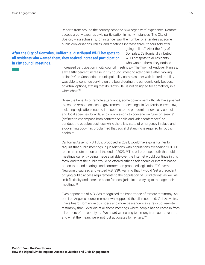Reports from around the country echo the SDA organizers' experience. Remote access greatly expands civic participation in many instances. The City of Boston, Massachusetts, for instance, saw the number of attendees at some public conversations, rallies, and meetings increase three- to four-fold after

#### <span id="page-24-0"></span>After the City of Gonzales, California, distributed Wi-Fi hotspots to **all residents who wanted them, they noticed increased participation in city council meetings.**

going online.[91](#page-44-0) After the City of Gonzales, California, distributed Wi-Fi hotspots to all residents who wanted them, they noticed

increased participation in city council meetings.<sup>92</sup> The Town of Andover, Kansas, saw a fifty percent increase in city council meeting attendance after moving online[.93](#page-44-0) One Connecticut municipal utility commissioner with limited mobility was able to continue serving on the board during the pandemic only because of virtual options, stating that its "Town Hall is not designed for somebody in a wheelchair."[94](#page-44-0)

Given the benefits of remote attendance, some government officials have pushed to expand remote access to government proceedings. In California, current law, including legislation enacted in response to the pandemic, allows city councils and local agencies, boards, and commissions to convene via "teleconference" (defined to encompass both conference calls and videoconferences) to conduct the people's business while there is a state of emergency in place and a governing body has proclaimed that social distancing is required for public health.[95](#page-44-0)

California Assembly Bill 339, proposed in 2021, would have gone further to require that public meetings in jurisdictions with populations exceeding 250,000 retain a remote option until the end of 2023.<sup>96</sup> The bill proposed both that public meetings currently being made available over the Internet would continue in this form, and that the public would be offered either a telephonic or Internet-based option to attend hearings and comment on proposed legislation.<sup>97</sup> Governor Newsom disagreed and vetoed A.B. 339, warning that it would "set a precedent of tying public access requirements to the population of jurisdictions" as well as limit flexibility and increase costs for local jurisdictions trying to manage their meetings.[98](#page-44-0)

Even opponents of A.B. 339 recognized the importance of remote testimony. As one Los Angeles councilmember who opposed the bill recounted, "At L.A. Metro, I have heard from more bus riders and more passengers as a result of remote testimony than I ever did at all those meetings where people had to come in from all corners of the county. . . . We heard wrenching testimony from actual renters and what their fears were, not just advocates for renters.["99](#page-44-0)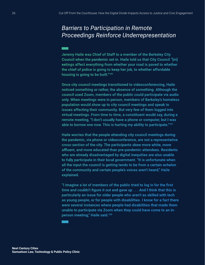## <span id="page-25-0"></span>**Barriers to Participation in Remote Proceedings Reinforce Underrepresentation**

Jeremy Haile was Chief of Staff to a member of the Berkeley City Council when the pandemic set in. Haile told us that City Council "[m] eetings affect everything from whether your road is paved to whether the chief of police is going to keep her job, to whether affordable housing is going to be built."100

Once city council meetings transitioned to videoconferencing, Haile noticed something or rather, the absence of something. Although the council used Zoom, members of the public could participate via audio only. When meetings were in person, members of Berkeley's homeless population would show up to city council meetings and speak to issues affecting their community. But very few of them logged into virtual meetings. From time to time, a constituent would say, during a remote meeting, "I don't usually have a phone or computer, but I was able to borrow one now. This is hurting my ability to participate."<sup>101</sup>

Haile worries that the people attending city council meetings during the pandemic, via phone or videoconference, are not a representative cross-section of the city. The participants skew more white, more affluent, and more educated than pre-pandemic attendees. Residents who are already disadvantaged by digital inequities are also unable to fully participate in their local government. "It is unfortunate when all the input the council is getting tends to be from a certain echelon of the community and certain people's voices aren't heard," Haile explained.

"I imagine a lot of members of the public tried to log in for the first time and couldn't figure it out and gave up . . . And I think that this is particularly an issue for older people who aren't as skilled with tech as young people, or for people with disabilities. I know for a fact there were several instances where people had disabilities that made them unable to participate via Zoom when they could have come to an inperson meeting," Haile said.<sup>102</sup>

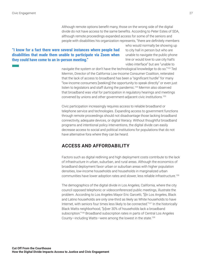Although remote options benefit many, those on the wrong side of the digital divide do not have access to the same benefits. According to Peter Estes of SDA, although remote proceedings expanded access for some of the seniors and people with disabilities his organization represents, "there are definitely members

### <span id="page-26-0"></span>**"I know for a fact there were several instances where people had disabilities that made them unable to participate via Zoom when**  they could have come to an in-person meeting."

who would normally be showing up to city hall in person but who are unable to navigate the public phone line or would love to use city hall's video interface" but are "unable to

navigate the system or don't have the technological knowledge to do so."[103](#page-44-0) Ted Mermin, Director of the California Low-Income Consumer Coalition, reiterated that the lack of access to broadband has been a "significant hurdle" for many "low-income consumers [seeking] the opportunity to speak directly" or even just listen to legislators and staff during the pandemic.<sup>[104](#page-44-0)</sup> Mermin also observed that broadband was vital for participation in regulatory hearings and meetings convened by unions and other government-adjacent civic institutions[.105](#page-44-0)

Civic participation increasingly requires access to reliable broadband or telephone service and technologies. Expanding access to government functions through remote proceedings should not disadvantage those lacking broadband connectivity, adequate devices, or digital literacy. Without thoughtful broadband programs and intentional policy interventions, the digital divide can easily decrease access to social and political institutions for populations that do not have alternative fora where they can be heard.

### **ACCESS AND AFFORDABILITY**

Factors such as digital redlining and high deployment costs contribute to the lack of infrastructure in urban, suburban, and rural areas. Although the economics of broadband deployment favor urban or suburban areas with higher population densities, low-income households and households in marginalized urban communities have lower adoption rates and slower, less reliable infrastructure.[106](#page-44-0)

The demographics of the digital divide in Los Angeles, California, where the city council opposed telephonic or videoconferenced public meetings, illustrate the problem. According to Los Angeles Mayor Eric Garcetti, "[i]n Los Angeles, Black and Latino households are only one-third as likely as White households to have Internet, with seniors four times less likely to be connected."[107](#page-45-0) In the historically Black Watts neighborhood, "[o]ver 30% of households lack a broadband subscription."<sup>108</sup> Broadband subscription rates in parts of Central Los Angeles County—including Watts—were among the lowest in the state.[109](#page-45-0)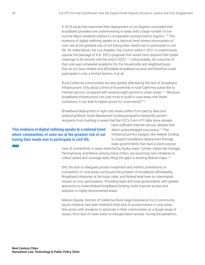<span id="page-27-0"></span>A 2019 study that examined fiber deployment in Los Angeles concluded that broadband providers are underinvesting in areas with a large number of lowincome Black residents relative to comparable socioeconomic regions.[110](#page-45-0) This evidence of digital redlining speaks to a national trend where communities of color are at the greatest risk of not having their needs met to participate in civil life. As noted above, the Los Angeles City Council voted in 2021 to unanimously oppose the passage of A.B. 339, a proposal that would have required their public meetings to be remote until the end of 2023.<sup>[111](#page-45-0)</sup> Unfortunately, the outcome of that vote was somewhat academic for the households and neighborhoods that do not have reliable and affordable broadband access and therefore could participate in only a limited fashion, if at all.

Rural California communities are also greatly affected by the lack of broadband infrastructure. Only about a third of households in rural California subscribe to Internet service, compared with seventy-eight percent in urban areas[.112](#page-45-0) "Because broadband infrastructure can cost more to build in rural areas with fewer customers, it can lead to higher prices for customers[.]["113](#page-45-0)

Broadband deployment in high-cost areas suffers from patchy data and political gridlock. Rural deployment funding programs frequently prevent recipients from building in areas that the FCC's Form 477 data show already

### **This evidence of digital redlining speaks to a national trend where communities of color are at the greatest risk of not having their needs met to participate in civil life.**

have sufficient Internet service, despite that data's acknowledged inaccuracy.[114](#page-45-0) The Infrastructure Act assigns new federal funding to support broadband deployment through state governments that have a more precise

view of connectivity in areas distorted by faulty maps. Further, states like Georgia, Pennsylvania, and Maine, among many others, are launching new initiatives to collect speed and coverage data, filling the gaps in existing federal maps[.115](#page-45-0)

Still, the lack of adequate private investment and indirect prohibitions on competition in rural areas compound the problem of broadband affordability. Broadband obstacles at the local, state, and federal level have an interrelated impact on civic participation. Providing state and local governments with greater autonomy to invest federal broadband funding could improve access and adoption in highly disconnected areas.

Marisol Aguilar, director of California Rural Legal Assistance, Inc.'s community equity initiative, has seen firsthand what lack of access means in rural areas. She works with residents to advocate in their communities on a broad range of issues, from lack of clean water to transportation access. During the pandemic,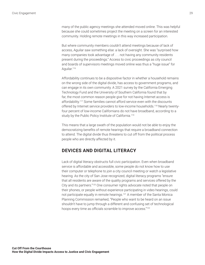<span id="page-28-0"></span>many of the public agency meetings she attended moved online. This was helpful because she could sometimes project the meeting on a screen for an interested community. Holding remote meetings in this way increased participation.

But where community members couldn't attend meetings because of lack of access, Aguilar saw something else: a lack of oversight. She was "surprised how many companies took advantage of . . . not having any community residents present during the proceedings." Access to civic proceedings as city council and boards of supervisors meetings moved online was thus a "huge issue" for Aguilar.[116](#page-45-0)

Affordability continues to be a dispositive factor in whether a household remains on the wrong side of the digital divide, has access to government programs, and can engage in its own community. A 2021 survey by the California Emerging Technology Fund and the University of Southern California found that by far, the most common reason people give for not having Internet access is affordability[.117](#page-45-0) Some families cannot afford service even with the discounts offered by Internet service providers to low-income households.[118](#page-45-0) Nearly twentyfour percent of low-income Californians do not have broadband, according to a study by the Public Policy Institute of California.<sup>119</sup>

This means that a large swath of the population would not be able to enjoy the democratizing benefits of remote hearings that require a broadband connection to attend. The digital divide thus threatens to cut off from the political process people who are directly affected by it.

### **DEVICES AND DIGITAL LITERACY**

Lack of digital literacy obstructs full civic participation. Even when broadband service is affordable and accessible, some people do not know how to use their computer or telephone to join a city council meeting or watch a legislative hearing. As the city of San Jose recognized, digital literacy programs "ensure that all residents are aware of the quality programs and services offered by the City and its partners."[120](#page-45-0) One consumer rights advocate noted that people on their phones, or people without experience participating in video hearings, could not participate equally in remote hearings.[121](#page-45-0) A member of the Santa Monica Planning Commission remarked, "People who want to be heard on an issue shouldn't have to jump through a different and confusing set of technological hoops every time as officials scramble to improve access.["122](#page-45-0)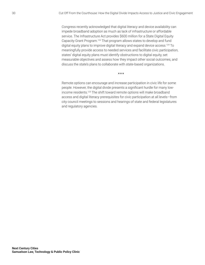<span id="page-29-0"></span>Congress recently acknowledged that digital literacy and device availability can impede broadband adoption as much as lack of infrastructure or affordable service. The Infrastructure Act provides \$600 million for a State Digital Equity Capacity Grant Program.[123](#page-45-0) That program allows states to develop and fund digital equity plans to improve digital literacy and expand device access.<sup>124</sup> To meaningfully provide access to needed services and facilitate civic participation, states' digital equity plans must identify obstructions to digital equity, set measurable objectives and assess how they impact other social outcomes, and discuss the state's plans to collaborate with state-based organizations.

\*\*\*

Remote options can encourage and increase participation in civic life for some people. However, the digital divide presents a significant hurdle for many lowincome residents[.125](#page-45-0) The shift toward remote options will make broadband access and digital literacy prerequisites for civic participation at all levels—from city council meetings to sessions and hearings of state and federal legislatures and regulatory agencies.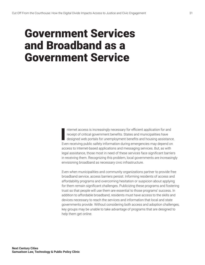## <span id="page-30-1"></span><span id="page-30-0"></span>Government Services and Broadband as a Government Service

**I** nternet access is increasingly necessary for efficient application for and receipt of critical government benefits. States and municipalities have designed web portals for unemployment benefits and housing assistance. Even receiving public safety information during emergencies may depend on access to Internet-based applications and messaging services. But, as with legal assistance, those most in need of these services face significant barriers in receiving them. Recognizing this problem, local governments are increasingly envisioning broadband as necessary civic infrastructure.

Even when municipalities and community organizations partner to provide free broadband service, access barriers persist. Informing residents of access and affordability programs and overcoming hesitation or suspicion about applying for them remain significant challenges. Publicizing these programs and fostering trust so that people will use them are essential to those programs' success. In addition to affordable broadband, residents must have access to the skills and devices necessary to reach the services and information that local and state governments provide. Without considering both access and adoption challenges, key groups may be unable to take advantage of programs that are designed to help them get online.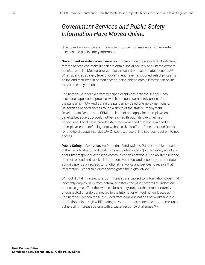## <span id="page-31-0"></span>*Government Services and Public Safety Information Have Moved Online*

Broadband access plays a critical role in connecting residents with essential services and public safety information.

**Government assistance and services.** For seniors and people with disabilities, remote access can make it easier to obtain social security and unemployment benefits, enroll in Medicare, or contest the denial of health-related benefits.<sup>[126](#page-45-0)</sup> When agencies at every level of government have transitioned select programs online and restricted in-person access, being able to obtain information online may be the only option.

For instance, a legal aid attorney helped clients navigate the school lunch assistance application process, which had gone completely online after the pandemic hit.[127](#page-45-0) And during the pandemic-fueled unemployment crisis, Californians needed access to the website of the state's Employment Development Department ("EDD") to learn of and apply for unemployment benefits because EDD could not be reached through its overwhelmed phone lines. Local news broadcasters recommended that those in need of unemployment benefits log onto websites like YouTube, Facebook, and Reddit for unofficial support services[.128](#page-45-0) Of course, these online sources require Internet access.

**Public Safety Information.** As Catherine Sandoval and Patrick Lanthier observe in their article about the digital divide and public safety, "[p]ublic safety is not just about first-responder access to communications networks. The ability to use the Internet to send and receive information, warnings, and encourage appropriate action depends on access to functional networks and devices to receive that information. Leadership drives or mitigates the digital divide.["129](#page-45-0)

Without digital infrastructure, communities are subject to "information gaps" that inevitably amplify risks from natural disasters and other hazards.<sup>130</sup> "Adoption or access gaps affect the [w]hole [c]ommunity, not just the person or family unconnected or underconnected to the Internet or without network access.["131](#page-45-0) For instance, "[w]hen those excluded from communications networks live in a dam's flood plain, high wildfire danger zone, or other vulnerable area, community vulnerability increases along with disaster response challenges."[132](#page-45-0)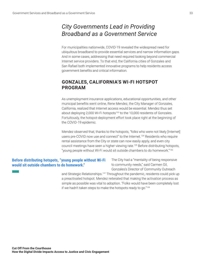### <span id="page-32-0"></span>*City Governments Lead in Providing Broadband as a Government Service*

For municipalities nationwide, COVID-19 revealed the widespread need for ubiquitous broadband to provide essential services and narrow information gaps. And in some cases, addressing that need required looking beyond commercial Internet service providers. To that end, the California cities of Gonzales and San Rafael both implemented innovative programs to help residents access government benefits and critical information.

### **GONZALES, CALIFORNIA'S WI-FI HOTSPOT PROGRAM**

As unemployment insurance applications, educational opportunities, and other municipal benefits went online, Rene Mendez, the City Manager of Gonzales, California, realized that Internet access would be essential. Mendez thus set about deploying 2,000 Wi-Fi hotspots<sup>133</sup> to the 10,000 residents of Gonzales. Fortuitously, the hotspot-deployment effort took place right at the beginning of the COVID-19 epidemic.

Mendez observed that, thanks to the hotspots, "folks who were not likely [Internet] users pre-COVID now use and connect" to the Internet[.134](#page-46-0) Residents who require rental assistance from the City or state can now easily apply, and even city council meetings have seen a higher viewing rate[.135](#page-46-0) Before distributing hotspots, "young people without Wi-Fi would sit outside chambers to do homework."[136](#page-46-0)

### Before distributing hotspots, "young people without Wi-Fi **would sit outside chambers to do homework."**

The City had a "mentality of being responsive to community needs," said Carmen Gil, Gonzales's Director of Community Outreach

and Strategic Relationships.<sup>137</sup> Throughout the pandemic, residents could pick up a preactivated hotspot. Mendez reiterated that making the activation process as simple as possible was vital to adoption. "Folks would have been completely lost if we hadn't taken steps to make the hotspots ready to go.["138](#page-46-0)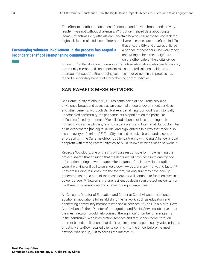The effort to distribute thousands of hotspots and provide broadband to every resident was not without challenges. Without centralized data about digital literacy, oftentimes city officials are uncertain how to ensure those who lack the digital skills to make full use of Internet-delivered services are not left behind. To

#### <span id="page-33-0"></span>**Encouraging volunteer involvement in the process has reaped a**  secondary benefit of strengthening community ties

that end, the City of Gonzales enlisted a brigade of teenagers who were ready and willing to help their neighbors on the other side of the digital divide

connect[.139](#page-46-0) In the absence of demographic information about who needs training, community members fill an important role as trusted liaisons residents can approach for support. Encouraging volunteer involvement in the process has reaped a secondary benefit of strengthening community ties.

### **SAN RAFAEL'S MESH NETWORK**

San Rafael, a city of about 60,000 residents north of San Francisco, also envisioned broadband access as an essential bridge to government services and other benefits. Although San Rafael's Canal neighborhood is a historically underserved community, the pandemic put a spotlight on the particular difficulties faced by students: "We still had a bunch of kids . . . doing their homework on smartphones, relying on data plans and Internet at Starbucks. The crisis exacerbated [the digital divide] and highlighted it in a way that made it so clear in everyone's minds."[140](#page-46-0) The City decided to tackle broadband access and affordability in the Canal neighborhood by partnering with Canal Alliance, a local nonprofit with strong community ties, to build its own wireless mesh network.<sup>[141](#page-46-0)</sup>

Rebecca Woodbury, one of the city officials responsible for implementing the project, shared that ensuring that residents would have access to emergency information during power outages—for instance, if their television or radios weren't working or if cell towers were down-was a primary motivating factor.<sup>142</sup> They are building resiliency into the system, making sure they have backup generators so that a core of the mesh network will continue to function even in a power outage.[143](#page-46-0) Networks that are resilient by design can protect residents from the threat of communications outages during emergencies.<sup>144</sup>

Air Gallegos, Director of Education and Career at Canal Alliance, mentioned additional motivations for establishing the network, such as education and connecting community members with social services.[145](#page-46-0) And Lucia Martel-Dow, Canal Alliance's then-Director of Immigration and Social Services, observed that the mesh network would help connect the significant number of immigrants in the community with immigration services and family back home through Internet-based applications that don't require users to spend costly voice minutes or data. Martel-Dow recalled clients coming into the office, before the mesh network was set up, just to access the Internet.<sup>146</sup>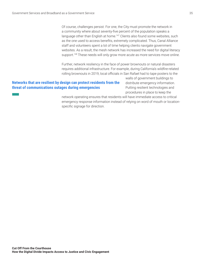<span id="page-34-0"></span>Of course, challenges persist. For one, the City must promote the network in a community where about seventy-five percent of the population speaks a language other than English at home.<sup>147</sup> Clients also found some websites, such as the one used to access benefits, extremely complicated. Thus, Canal Alliance staff and volunteers spent a lot of time helping clients navigate government websites. As a result, the mesh network has increased the need for digital literacy support.<sup>148</sup> These needs will only grow more acute as more services move online.

Further, network resiliency in the face of power brownouts or natural disasters requires additional infrastructure. For example, during California's wildfire-related rolling brownouts in 2019, local officials in San Rafael had to tape posters to the

#### **Networks that are resilient by design can protect residents from the threat of communications outages during emergencies**

walls of government buildings to distribute emergency information. Putting resilient technologies and procedures in place to keep the

network operating ensures that residents will have immediate access to critical emergency response information instead of relying on word of mouth or locationspecific signage for direction.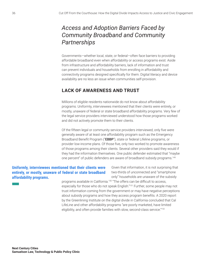### <span id="page-35-0"></span>*Access and Adoption Barriers Faced by Community Broadband and Community Partnerships*

Governments—whether local, state, or federal—often face barriers to providing affordable broadband even when affordability or access programs exist. Aside from infrastructure and affordability barriers, lack of information and trust can prevent individuals and households from enrolling in affordability and connectivity programs designed specifically for them. Digital literacy and device availability are no less an issue when communities self-provision.

### **LACK OF AWARENESS AND TRUST**

Millions of eligible residents nationwide do not know about affordability programs. Uniformly, interviewees mentioned that their clients were entirely, or mostly, unaware of federal or state broadband affordability programs. Very few of the legal service providers interviewed understood how those programs worked and did not actively promote them to their clients.

Of the fifteen legal or community service providers interviewed, only five were generally aware of at least one affordability program such as the Emergency Broadband Benefit Program ("EBBP"), state or federal Lifeline programs, or provider low-income plans. Of those five, only two worked to promote awareness of those programs among their clients. Several other providers said they would if they had the information themselves. One public defender estimated that "maybe one percent" of public defenders are aware of broadband subsidy programs.<sup>149</sup>

### **Uniformly, interviewees mentioned that their clients were entirely, or mostly, unaware of federal or state broadband affordability programs.**

Given that information, it is not surprising that two-thirds of unconnected and "smartphone only" households are unaware of the subsidy

programs available in California.<sup>150</sup> "The offers can be difficult to access, especially for those who do not speak English."[151](#page-46-0) Further, some people may not trust information coming from the government or may have negative perceptions about subsidy programs and how they access program benefits. A 2020 report by the Greenlining Institute on the digital divide in California concluded that Cal LifeLine and other affordability programs "are poorly marketed, have limited eligibility, and often provide families with slow, second-class service."<sup>152</sup>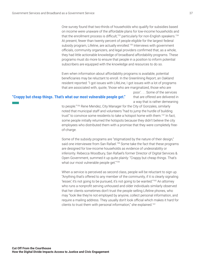<span id="page-36-0"></span>One survey found that two-thirds of households who qualify for subsidies based on income were unaware of the affordable plans for low-income households and that the enrollment process is difficult, $153$  particularly for non-English speakers. $154$ At present, fewer than twenty percent of people eligible for the largest federal subsidy program, Lifeline, are actually enrolled.<sup>155</sup> Interviews with government officials, community organizers, and legal providers confirmed that, as a whole, they had little actionable knowledge of broadband affordability programs. These programs must do more to ensure that people in a position to inform potential subscribers are equipped with the knowledge and resources to do so.

Even when information about affordability programs is available, potential beneficiaries may be reluctant to enroll. In the Greenlining Report, an Oakland resident reported: "I got issues with LifeLine, I got issues with a lot of programs that are associated with, quote, 'those who are marginalized, those who are

#### **"Crappy but cheap things. That's what our most vulnerable people get."**

poor.' . . . Some of the services that are offered are delivered in a way that is rather demeaning

to people.["156](#page-46-0) Rene Mendez, City Manager for the City of Gonzales, similarly noted that municipal staff and volunteers "had to jump the hurdle of building trust" to convince some residents to take a hotspot home with them.<sup>157</sup> In fact, some people initially returned the hotspots because they didn't believe the city employees who distributed them with a promise that they were completely freeof-charge.

Some of the subsidy programs are "stigmatized by the nature of their design," said one interviewee from San Rafael.<sup>[158](#page-46-0)</sup> Some take the fact that these programs are designed for low-income households as evidence of undesirability or inferiority. Rebecca Woodbury, San Rafael's former Director of Digital Services & Open Government, summed it up quite plainly: "Crappy but cheap things. That's what our most vulnerable people get."<sup>[159](#page-46-0)</sup>

When a service is perceived as second class, people will be reluctant to sign up. "Anything that's offered to any member of the community, if it is clearly signaling 'lesser,' it's not going to be pursued, it's not going to be wanted.["160](#page-46-0) An attorney who runs a nonprofit serving unhoused and older individuals similarly observed that her clients sometimes don't trust the people selling Lifeline phones, who may "look like they're not employed by anyone, collect personal information, and require a mailing address. They usually don't look official which makes it hard for clients to trust them with personal information," she explained[.161](#page-47-0)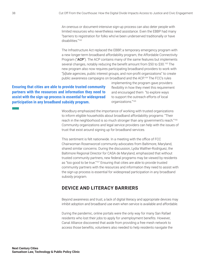<span id="page-37-0"></span>An onerous or document-intensive sign-up process can also deter people with limited resources who nevertheless need assistance. Even the EBBP had many "barriers to registration for folks who've been underserved traditionally or have disabilities.["162](#page-47-0)

The Infrastructure Act replaced the EBBP, a temporary emergency program with a new longer-term broadband affordability program, the Affordable Connectivity Program ("ACP"). The ACP contains many of the same features but implements several changes, notably reducing the benefit amount from \$50 to \$30[.163](#page-47-0) The new program also now requires participating broadband providers to work with "[s]tate agencies, public interest groups, and non-profit organizations" to create public awareness campaigns on broadband and the ACP[.164](#page-47-0) The FCC's rules

### **Ensuring that cities are able to provide trusted community partners with the resources and information they need to**  assist with the sign-up process is essential for widespread **participation in any broadband subsidy program.**

implementing the program gave providers flexibility in how they meet this requirement and encouraged them "to explore ways to support the outreach efforts of local organizations."<sup>[165](#page-47-0)</sup>

Woodbury emphasized the importance of working with trusted organizations to inform eligible households about broadband affordability programs: "Their reach in the neighborhood is so much stronger than any government's reach."<sup>[166](#page-47-0)</sup> Community organizations and legal service providers can help with the issues of trust that exist around signing up for broadband services.

This sentiment is felt nationwide. In a meeting with the office of FCC Chairwoman Rosenworcel community advocates from Baltimore, Maryland, shared similar concerns. During the discussion, Lydia Walther-Rodriguez, the Baltimore Regional Director for CASA de Maryland, emphasized that without trusted community partners, new federal programs may be viewed by residents as "too good to be true."<sup>167</sup> Ensuring that cities are able to provide trusted community partners with the resources and information they need to assist with the sign-up process is essential for widespread participation in any broadband subsidy program.

### **DEVICE AND LITERACY BARRIERS**

Beyond awareness and trust, a lack of digital literacy and appropriate devices may inhibit adoption and broadband use even when service is available and affordable.

During the pandemic, online portals were the only way for many San Rafael residents who lost their jobs to apply for unemployment benefits. However, Canal Alliance discovered that aside from providing a free mesh network to access those benefits, volunteers also needed to help residents navigate the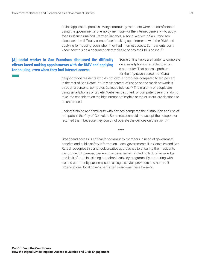online application process. Many community members were not comfortable using the government's unemployment site—or the Internet generally—to apply for assistance unaided. Carmen Sanchez, a social worker in San Francisco discussed the difficulty clients faced making appointments with the DMV and applying for housing, even when they had Internet access. Some clients don't know how to sign a document electronically, or pay their bills online.<sup>[168](#page-47-0)</sup>

### <span id="page-38-0"></span>[A] social worker in San Francisco discussed the difficulty **clients faced making appointments with the DMV and applying for housing, even when they had Internet access.**

Some online tasks are harder to complete on a smartphone or a tablet than on a computer. That poses a problem for the fifty-seven percent of Canal

neighborhood residents who do not own a computer, compared to ten percent in the rest of San Rafael.<sup>169</sup> Only six percent of usage on the mesh network is through a personal computer, Gallegos told us.<sup>[170](#page-47-0)</sup> The majority of people are using smartphones or tablets. Websites designed for computer users that do not take into consideration the high number of mobile or tablet users, are destined to be underused.

Lack of training and familiarity with devices hampered the distribution and use of hotspots in the City of Gonzales. Some residents did not accept the hotspots or returned them because they could not operate the devices on their own[.171](#page-47-0)

\*\*\*

Broadband access is critical for community members in need of government benefits and public safety information. Local governments like Gonzales and San Rafael recognize this and took creative approaches to ensuring their residents can connect. However, barriers to access remain, including lack of knowledge and lack of trust in existing broadband subsidy programs. By partnering with trusted community partners, such as legal service providers and nonprofit organizations, local governments can overcome these barriers.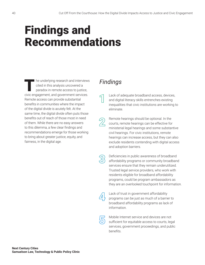## <span id="page-39-0"></span>Findings and Recommendations

I he underlying research and interviews cited in this analysis uncovered a paradox in remote access to justice, civic engagement, and government services. Remote access can provide substantial benefits in communities where the impact of the digital divide is acutely felt. At the same time, the digital divide often puts those benefits out of reach of those most in need of them. While there are no easy answers to this dilemma, a few clear findings and recommendations emerge for those working to bring about greater justice, equity, and fairness, in the digital age.

### *Findings*

Lack of adequate broadband access, devices, and digital literacy skills entrenches existing inequalities that civic institutions are working to eliminate.

Remote hearings should be optional. In the courts, remote hearings can be effective for ministerial legal hearings and some substantive civil hearings. For civic institutions, remote hearings can increase access, but they can also exclude residents contending with digital access and adoption barriers.

Deficiencies in public awareness of broadband affordability programs or community broadband services ensure that they remain underutilized. Trusted legal service providers, who work with residents eligible for broadband affordability programs, could be program ambassadors as they are an overlooked touchpoint for information.

| ____<br>I |  |
|-----------|--|

Lack of trust in government affordability programs can be just as much of a barrier to broadband affordability programs as lack of information.



Mobile Internet service and devices are not sufficient for equitable access to courts, legal services, government proceedings, and public benefits.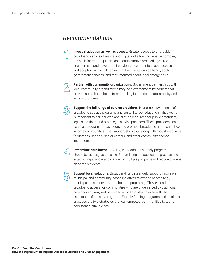### *Recommendations*

**Invest in adoption as well as access.** Greater access to affordable broadband service offerings and digital skills training must accompany the push for remote judicial and administrative proceedings, civic engagement, and government services. Investments in both access and adoption will help to ensure that residents can be heard, apply for government services, and stay informed about local emergencies.



**Partner with community organizations.** Government partnerships with local community organizations may help overcome trust barriers that prevent some households from enrolling in broadband affordability and access programs.



**Support the full range of service providers.** To promote awareness of broadband subsidy programs and digital literacy education initiatives, it is important to partner with and provide resources for public defenders, legal aid offices, and other legal service providers. These providers can serve as program ambassadors and promote broadband adoption in lowincome communities. That support should go along with robust resources for libraries, schools, senior centers, and other community anchor institutions.



**Streamline enrollment.** Enrolling in broadband subsidy programs should be as easy as possible. Streamlining the application process and establishing a single application for multiple programs will reduce burdens on some residents.



**Support local solutions.** Broadband funding should support innovative municipal and community-based initiatives to expand access (e.g., municipal mesh networks and hotspot programs). They expand broadband access for communities who are underserved by traditional providers and may not be able to afford broadband even with the assistance of subsidy programs. Flexible funding programs and local best practices are two strategies that can empower communities to tackle persistent digital divides.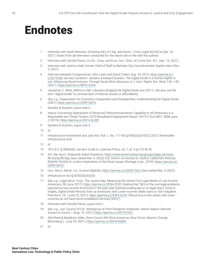## <span id="page-41-0"></span>**Endnotes**

- [1](#page-7-0) Interview with Sarah Reisman, Directing Att'y of Litig. and Advoc., Cmty. Legal Aid SoCal (Apr. 23, 2021). Notes from all interviews conducted for this report are on file with the authors.
- [2](#page-7-0) Interview with Camille Pannu, Co-Dir., Cmty. and Econ. Dev. Clinic, UC Irvine Sch. of L. (Apr. 13, 2021).
- [3](#page-7-0) Interview with Jeremy Haile, former Chief of Staff to Berkeley City Councilmember Sophie Hahn (Nov. 5, 2021).
- [4](#page-7-0) Interview between Congressman John Lewis and David Cohen, Aug. 24, 2012, [https://perma.cc/](https://perma.cc/LC62-V248) [LC62-V248;](https://perma.cc/LC62-V248) *see also* Cynthia K. Sanders & Edward Scanlon, *The Digital Divide Is a Human Rights Is*sue: Advancing Social Inclusion Through Social Work Advocacy, 6 J. Hum. Rights Soc. Work 130-143 (2021),<https://perma.cc/8STE-SJK4>.
- [5](#page-7-0) Jessamyn C. West, *Without a Net: Librarians Bridging the Digital Divide xxiv (2011)*. We also use the term "digital divide" to connote lack of Internet access or affordability.
- [6](#page-8-0) *See, e.g.*, Organization for Economic Cooperation and Development, Understanding the Digital Divide (2001), [https://perma.cc/ZG8T-Q6FQ.](https://perma.cc/ZG8T-Q6FQ)
- [7](#page-8-0) Sanders & Scanlon, *supra* note 4.
- [8](#page-9-0) *Inquiry Concerning Deployment of Advanced Telecommunications Capability to All Americans in a* Reasonable and Timely Fashion, 2019 Broadband Deployment Report, 34 FCC Rcd 3857, 3858, para. 2 (2019), [https://perma.cc/5X7U-QJDR.](https://perma.cc/5X7U-QJDR)
- [9](#page-9-0) Sanders & Scanlon, *supra* note 4.
- [10](#page-9-0) *Id*.
- [11](#page-9-0) Infrastructure Investment and Jobs Act, Pub. L. No. 117-58, § 60502(a)(10)(C) (2021) [hereinafter Infrastructure Act].
- [12](#page-9-0) *Id*.
- [13](#page-11-0) 18 U.S.C. § 3006A(b); *see also* Guide to Judiciary Policy, vol. 7, pt. A § 210.40.30.
- [14](#page-11-0) Am. Bar Ass'n, *Frequently Asked Questions*, [https://www.americanbar.org/groups/legal\\_services/](https://www.americanbar.org/groups/legal_services/flh-home/flh-faq/) [flh-home/flh-faq/](https://www.americanbar.org/groups/legal_services/flh-home/flh-faq/) (last visited Mar. 4, 2022); Cal. Comm. on Access to Justice, *California's Attorney* Deserts: Access to Justice Implications of the Rural Lawyer Shortage (July , 2019), [https://perma.cc/](https://perma.cc/QZN5-GKUC) [QZN5-GKUC.](https://perma.cc/QZN5-GKUC)
- [15](#page-11-0) Univ. Servs. Admin. Co., *Income Eligibility*, <https://perma.cc/53CB-TQUU> (last visited Mar. 4, 2022).
- [16](#page-11-0) Infrastructure Act § 60502(b)(A)(i)(I).
- [17](#page-11-0) See, e.g., Legal Servs. Corp., *The Justice Gap: Measuring the Unmet Civil Legal Needs of Low-Income Americans* 28 (June 2017), <https://perma.cc/5FN4-ZFKY>(stating that "86% of the civil legal problems reported by low-income Americans in the past year received inadequate or no legal help"); Emily A. Vogels, *Digital Divide Persists Even as Americans with Lower Incomes Make Gains in Tech Adoption*, Pew Rsch. Ctr. (June 22, 2021), <https://perma.cc/9JK4-SJH2> ("About four-in-ten adults with lower incomes do not have home broadband services (43%)").
- [18](#page-12-0) Interview with Camille Pannu, *supra* note 2.
- [19](#page-12-0) *See, e.g., Jud. Council of Cal., Workgroup on Post-Pandemic Initiatives, Interim Report: Remote* Access to Courts 1 (Aug. 16, 2021), <https://perma.cc/3SYZ-KX3C>.
- [20](#page-12-0) Allie Reed & Maddison Alder, *Zoom Courts Will Stick Around as Virus Forces Seismic Change*, Bloomberg L. (July 30, 2021), <https://perma.cc/DN76-K6WV.>
- [21](#page-12-0) *Id*.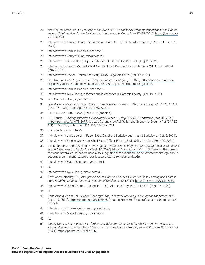- <span id="page-42-0"></span>Nat'l Ctr. for State Cts., Call to Action: Achieving Civil Justice for All: Recommendations to the Confer-*IRGISJ'LMIJ.YWXMGIWF]XLI'MZMP.YWXMGI-QTVSZIQIRXW'SQQMXXII* 37–38 (2016) [https://perma.cc/](https://perma.cc/YVN5-QBQD) [YVN5-QBQD.](https://perma.cc/YVN5-QBQD)
- Interview with Youseef Elias, Chief Assistant Pub. Def., Off. of the Alameda Cnty. Pub. Def. (Sept. 5, 2021).
- Interview with Camille Pannu, *supra* note 2.
- Interview with Youseef Elias, *supra* note 23.
- Interview with Genna Beier, Deputy Pub. Def., S.F. Off. of the Pub. Def. (Aug. 31, 2021).
- Interview with Candis Mitchell, Chief Assistant Fed. Pub. Def., Fed. Pub. Def.'s Off., N. Dist. of Cal. (May 2, 2021).
- Interview with Kaelan Orozco, Staff Att'y, Cmty. Legal Aid SoCal (Apr. 19, 2021).
- See Am. Bar Ass'n, *Legal Deserts Threaten Justice for All* (Aug. 3, 2020), [https://www.americanbar.](https://www.americanbar.org/news/abanews/aba-news-archives/2020/08/legal-deserts-threaten-justice/) [org/news/abanews/aba-news-archives/2020/08/legal-deserts-threaten-justice/.](https://www.americanbar.org/news/abanews/aba-news-archives/2020/08/legal-deserts-threaten-justice/)
- Interview with Camille Pannu, *supra* note 2.
- Interview with Tony Cheng, a former public defender in Alameda County. (Apr. 19, 2021).
- Jud. Council of Cal., *supra* note 19.
- Lyle Moran, *California Is Poised to Permit Remote Court Hearings Through at Least Mid-2023*, ABA J. (Sept. 16, 2021),<https://perma.cc/4U6G-AC5N>.
- S.B. 241, 2021–2022 Sess. (Cal. 2021) (enacted).
- U.S. Courts, Judiciary Authorizes Video/Audio Access During COVID-19 Pandemic (Mar. 31, 2020), <https://perma.cc/WW7S-56FF>; *see also* Coronavirus Aid, Relief, and Economic Security Act (CARES Act) § 15002(b), Pub. L. No. 116-136, 134 Stat. 281.
- U.S. Courts, *supra* note 35.
- Interview with Judge Jeremy Fogel, Exec. Dir. of the Berkeley Jud. Inst. at Berkeley L. (Oct. 6, 2021).
- Interview with Brooke Weitzman, Chief Exec. Officer, Elder L. & Disability Rts. Ctr., (Sept, 20, 2021).
- Alicia Bannon & Janna Adelstein, *The Impact of Video Proceedings on Fairness and Access to Justice* in Court, Brennan Ctr. for Justice (Sept. 10, 2020),<https://perma.cc/E27Y-TEP9> ("Beyond the current moment, several court leaders have also suggested that expanded use of remote technology should become a permanent feature of our justice system." (citation omitted)).
- Interview with Sarah Reisman, *supra* note 1.
- *Id*.
- Interview with Tony Cheng, *supra* note 31.
- Gov't Accountability Off., *Immigration Courts: Actions Needed to Reduce Case Backlog and Address* Long-Standing Management and Operational Challenges 55 (2017), [https://perma.cc/AG6C-7Q6M.](https://perma.cc/AG6C-7Q6M)
- Interview with Olivia Sideman, Assoc. Pub. Def., Alameda Cnty. Pub. Def.'s Off. (Sept. 15, 2021).
- *Id*.
- Chris Arnold, Zoom Call Eviction Hearings: "They'll Throw Everything I Have out on the Street," NPR (June 19, 2020), <https://perma.cc/9PG6-FN7U> (quoting Emily Benfer, a professor at Columbia Law School).
- Interview with Brooke Weitzman, *supra* note 38.
- Interview with Olivia Sideman, *supra* note 44.
- *Id*.
- *Inquiry Concerning Deployment of Advanced Telecommunications Capability to All Americans in a* Reasonable and Timely Fashion, 14th Broadband Deployment Report, 36 FCC Rcd 836, 855, para. 33 (2021), [https://perma.cc/Z7H9-A3TR.](https://perma.cc/Z7H9-A3TR)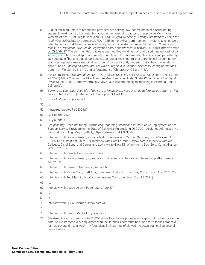- <span id="page-43-0"></span>[51](#page-16-0) "Digital redlining" refers to broadband providers not serving low-income areas or discriminating against lower-income urban neighborhoods in the types of broadband they provide. Commc'ns Workers of Am. & Nat'l Digital Inclusion All., *AT&T's Digital Redlining: Leaving Communities Behind for 4VSƼX* (Oct. 2020),<https://perma.cc/D7KA-PD5E>. In the 1930s, communities in major U.S. cities were rated for lending risk based on race, ethnicity, and income status. Bruce Mitchell, *HOLC "Redlining"* Maps: The Persistent Structure of Segregation and Economic Inequality (Mar. 20, 2018), [https://perma.](https://perma.cc/ZR6A-9L8T) [cc/ZR6A-9L8T.](https://perma.cc/ZR6A-9L8T) The communities that were deemed "high lending risk" and discriminated against by lending institutions are disproportionately minority and low-income neighborhoods and persistently lack equitable fiber and digital tools access. *Id*. Digital redlining "further entrench[es] discriminatory practices against already marginalized groups" by significantly hindering daily life and educational opportunities. Banking on Your Data: The Role of Big Data in Financial Services: Hearing Before the H. Comm. on Fin. Servs., 116th Cong. 3 (statement of Christopher Gilliard, PhD).
- [52](#page-16-0) See Shara Tibken, *The Broadband Gap's Dirty Secret: Redlining Still Exists in Digital Form, CNET (June* 28, 2021), [https://perma.cc/CPL2-J826;](https://perma.cc/CPL2-J826) see also Greenlining Insti., *On the Wrong Side of the Digital Divide* (June 2, 2020),<https://perma.cc/AJN2-8J35>(illustrating digital redlining in Alameda County, California).
- [53](#page-17-0) Banking on Your Data: The Role of Big Data in Financial Services: Hearing Before the H. Comm. on Fin. *Servs.,* 116th Cong. 3 (statement of Christopher Gilliard, PhD).
- [54](#page-17-0) Emily A. Vogels, *supra* note 17.
- [55](#page-17-0) *Id*.
- [56](#page-17-0) Infrastructure Act § 60506(b)(1).
- [57](#page-17-0) *Id*. § 60506(b)(2).
- [58](#page-17-0) *Id*. § 60506(d).
- [59](#page-17-0) See generally Order Instituting Rulemaking Regarding Broadband Infrastructure Deployment and to Support Service Providers in the State of California, Rulemaking 20-09-001, Assigned Administrative Law Judge's Ruling (May 28, 2021), [https://perma.cc/2UQ9-NL95.](https://perma.cc/2UQ9-NL95)
- [60](#page-17-0) Interview with Olivia Sideman, supra note 44; Interview with Carmen Sanchez, Social Worker, S. F. Pub. Def.'s Off. (Sept. 20, 2021); Interview with Camille Pannu, *supra* note 2; Interview with Air Gallegos, Dir. of Educ. and Career, and Lucia Martel-Dow, Dir. of Immigr. & Soc. Serv., Canal Alliance (Apr. 27, 2021).
- [61](#page-17-0) Interview with Camille Pannu, *supra* note 2.
- [62](#page-17-0) Interview with Olivia Sideman, *supra* note 44. BlueJeans is the videoconferencing platform many courts use.
- [63](#page-17-0) Interview with Carmen Sanchez, *supra* note 60.
- [64](#page-18-0) Interview with Miguel Soto, Staff Att'y, Consumer Just. Clinic, East Bay Cmty. L. Ctr. (Apr. 12, 2021).
- [65](#page-18-0) Interview with Ted Mermin, Dir., Cal. Low-Income Consumer Coal. (Apr. 15, 2021).
- [66](#page-18-0) *Id*.
- [67](#page-18-0) Interview with Judge Jeremy Fogel, *supra* note 37.
- [68](#page-18-0) *Id*.
- [69](#page-18-0) *Id*.
- [70](#page-19-0) Interview with Olivia Sideman, *supra* note 44.
- [71](#page-19-0) *Id*.
- [72](#page-19-0) Interview with Candis Mitchell, *supra* note 27.
- [73](#page-20-0) *7II* Greenlining Inst., *supra* note 52 ("What I've found is my phone is a hotspot, but it slows down the data. So I've become very acquainted with the libraries, I commute back and forth to the libraries a lot. I go several times a week, my foot [disability] has kind of slowed me down but I still go several times a week.").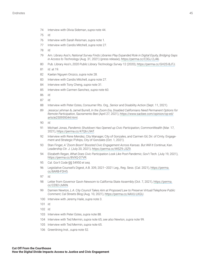- <span id="page-44-0"></span>Interview with Olivia Sideman, *supra* note 44.
- *Id*.
- Interview with Sarah Reisman, *supra* note 1.
- Interview with Candis Mitchell, *supra* note 27.
- *Id*.
- Am. Library Ass'n, National Survey Finds Libraries Play Expanded Role in Digital Equity, Bridging Gaps *in Access to Technology* (Aug. 31, 2021) (press release), [https://perma.cc/C3GJ-2J46.](https://perma.cc/C3GJ-2J46)
- Pub. Library Ass'n, 2020 Public Library Technology Survey 12 (2020), [https://perma.cc/GH2S-BJTJ.](https://perma.cc/GH2S-BJTJ)
- *Id*. at 19.
- Kaelan Nguyen Orozco, *supra* note 28.
- Interview with Candis Mitchell, *supra* note 27.
- Interview with Tony Cheng, *supra* note 31.
- Interview with Carmen Sanchez, *supra* note 60.
- *Id*.
- *Id*.
- Interview with Peter Estes, Consumer Rts. Org., Senior and Disability Action (Sept. 11, 2021).
- Jessica Lehman & Jamel Burrell, *In the Zoom Era, Disabled Californians Need Permanent Options for Remote Participation*, Sacramento Bee (April 27, 2021), [https://www.sacbee.com/opinion/op-ed/](https://www.sacbee.com/opinion/op-ed/article250959344.html) [article250959344.html.](https://www.sacbee.com/opinion/op-ed/article250959344.html)
- *Id*.
- Michael Jonas, Pandemic Shutdown Has Opened up Civic Participation, CommonWealth (Mar. 17, 2021), [https://perma.cc/47Q6-L9AT.](https://perma.cc/47Q6-L9AT)
- Interview with Rene Mendez, City Manager, City of Gonzales, and Carmen Gil, Dir. of Cmty. Engagement and Strategic P'ships, City of Gonzales (Oct. 1, 2021).
- Stan Finger, A "Zoom Boom" Boosted Civic Engagement Across Kansas. But Will It Continue, Kan. Leadership Ctr. J. (July 20, 2021), <https://perma.cc/WSZ9-J3Z9>.
- Elizabeth Regan, What Does Civic Participation Look Like Post-Pandemic, Gov't Tech. (July 19, 2021), <https://perma.cc/8VXQ-D7VR>.
- Cal. Gov't Code §§ 54950 *et seq*.
- Legislative Counsel's Digest, A.B. 339, 2021–2021 Leg., Reg. Sess. (Cal. 2021), [https://perma.](https://perma.cc/8ARB-FDH5) [cc/8ARB-FDH5](https://perma.cc/8ARB-FDH5).
- *Id*.
- Letter from Governor Gavin Newsom to California State Assembly (Oct. 7, 2021), [https://perma.](https://perma.cc/2Z82-LMXN) [cc/2Z82-LMXN.](https://perma.cc/2Z82-LMXN)
- Damien Newton, *L.A. City Council Takes Aim at Proposed Law to Preserve Virtual/Telephone Public Comment*, Cal Streets Blog (Aug. 10, 2021), <https://perma.cc/4AVU-LKGU>.
- Interview with Jeremy Haile, *supra* note 3.

*Id*.

- *Id*.
- Interview with Peter Estes, *supra* note 88.
- Interview with Ted Mermin, *supra* note 65; *see also* Newton, *supra* note 99.
- Interview with Ted Mermin, *supra* note 65.
- Greenlining Inst., *supra* note 52.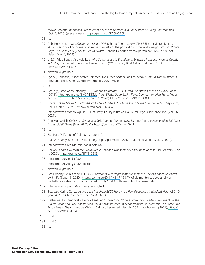- <span id="page-45-0"></span>[107](#page-26-0) Mayor Garcetti Announces Free Internet Access to Residents in Four Public Housing Communities (Oct. 9, 2020) (press release), [https://perma.cc/ZA68-GT5U.](https://perma.cc/ZA68-GT5U)
- [108](#page-26-0) *Id*.
- [109](#page-26-0) Pub. Pol'y Inst. of Cal., *California's Digital Divide*,<https://perma.cc/9LZR-8F5L>(last visited Mar. 4, 2022). Persons of color make up more than 99% of the population in the Watts neighborhood. Profile Page, Los Angeles City, South Central/Watts, Census Reporter, <https://perma.cc/F4AU-P828> (last visited Mar. 4, 2022).
- [110](#page-27-0) U.S.C. Price Spatial Analysis Lab, *Who Gets Access to Broadband: Evidence from Los Angeles County* , Connected Cities & Inclusive Growth (CCIG) Policy Brief # 4, at 3–4 (Sept. 2019), [https://](https://perma.cc/AV8X-HSYY) [perma.cc/AV8X-HSYY](https://perma.cc/AV8X-HSYY).
- [111](#page-27-0) Newton, *supra* note 99.
- [112](#page-27-0) Sydney Johnson, Disconnected: Internet Stops Once School Ends for Many Rural California Students, EdSource (Dec. 6, 2019),<https://perma.cc/V9SJ-WDR6>.
- [113](#page-27-0) *Id*.
- [114](#page-27-0) *See, e.g., Gov't Accountability Off., Broadband Internet: FCC's Data Overstate Access on Tribal Lands* (2018), [https://perma.cc/8HQP-DDML;](https://perma.cc/8HQP-DDML) *Rural Digital Opportunity Fund; Connect America Fund*, Report and Order, 35 FCC Rcd 686, 688, para. 5 (2020), [https://perma.cc/9QK5-R8XC.](https://perma.cc/9QK5-R8XC)
- [115](#page-27-0) Shara Tibken, States Couldn't Afford to Wait for the FCC's Broadband Maps to Improve. So They Didn't, CNET (Feb. 23, 2021), <https://perma.cc/X52N-XK2C>.
- [116](#page-28-0) Interview with Marisol Aguilar, Dir. of Cmty. Equity Initiative, Cal. Rural Legal Assistance, Inc. (Apr. 26, 2021).
- [117](#page-28-0) Ron Mackovich, California Surpasses 90% Internet Connectivity, But Low-Income Households Still Lack *Access*, USC News (Mar. 30, 2021), [https://perma.cc/X5WH-ZSKU.](https://perma.cc/X5WH-ZSKU)
- [118](#page-28-0) *Id*.
- [119](#page-28-0) See Pub. Pol'y Inst. of Cal., *supra* note 110.
- [120](#page-28-0) *Digital Literacy*, San Jose Pub. Library, <https://perma.cc/2ZAM-RB3M> (last visited Mar. 4, 2022).
- [121](#page-28-0) Interview with Ted Mermin, *supra* note 65.
- [122](#page-28-0) Shawn Landres, *Reform the Brown Act to Enhance Transparency and Public Access*, Cal. Matters (Nov. 4, 2020), [https://perma.cc/3PY8-Q535.](https://perma.cc/3PY8-Q535)
- [123](#page-29-0) Infrastructure Act § 60304.
- [124](#page-29-0) Infrastructure Act § 60304(b), (c).
- [125](#page-29-0) Newton, *supra* note 99.
- [126](#page-31-0) See Doherty Cella Keane, LLP, *SSDI Claimants with Representation Increase Their Chances of Award F]*  (Sept. 18, 2020), <https://perma.cc/LV4V-HSKF>("58.7% of claimants received a fully or partially favorable decision compared to only 17.4% of those without representation.")
- [127](#page-31-0) Interview with Sarah Reisman, *supra* note 1.
- [128](#page-31-0) See, e.g., Karina Gonzalez, *No Luck Reaching EDD? Here Are a Few Resources that Might Help*, ABC 10 (Mar. 4, 2021), [https://perma.cc/7WXS-SYN4.](https://perma.cc/7WXS-SYN4)
- [129](#page-31-0) Catherine J.K. Sandoval & Patrick Lanthier, *Connect the Whole Community: Leadership Gaps Drive the* Digital Divide and Fuel Disaster and Social Vulnerabilities, in Technology vs Government: The Irresistible Force Meets The Immovable Object 15 (Lloyd Levine, ed., Jan. 14, 2021) (forthcoming 2021), [https://](https://perma.cc/WG38-JFPA) [perma.cc/WG38-JFPA](https://perma.cc/WG38-JFPA).
- [130](#page-31-0) *Id*. at 3.
- [131](#page-31-0) *Id*. at 6.
- [132](#page-31-0) *Id*.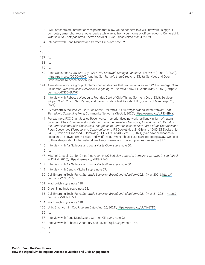- <span id="page-46-0"></span>[133](#page-32-0) "WiFi hotspots are Internet access points that allow you to connect to a WiFi network using your computer, smartphone or another device while away from your home or office network." CenturyLink, *What Is a WiFi hotspot,<https://perma.cc/AFN3-LGW3>(last visited Mar. 4, 2022).*
- [134](#page-32-0) Interview with Rene Mendez and Carmen Gil, *supra* note 92.
- [135](#page-32-0) *Id*.
- [136](#page-32-0) *Id*.
- [137](#page-32-0) *Id*.
- [138](#page-32-0) *Id*.
- [139](#page-33-0) *Id*.
- [140](#page-33-0) Zach Quaintance, How One City Built a Wi-Fi Network During a Pandemic, TechWire (June 18, 2020), <https://perma.cc/2QDQ-9UVC> (quoting San Rafael's then-Director of Digital Services and Open Government, Rebecca Woodbury).
- [141](#page-33-0) A mesh network is a group of interconnected devices that blanket an area with Wi-Fi coverage. Glenn Fleishman, Wireless Mesh Networks: Everything You Need to Know, PC World (May 5, 2020), [https://](https://perma.cc/DS3G-8UWP) [perma.cc/DS3G-8UWP.](https://perma.cc/DS3G-8UWP)
- [142](#page-33-0) Interview with Rebecca Woodbury, Founder, Dep't of Civic Things (formerly Dir. of Digit. Services & Open Gov't, City of San Rafael) and Javier Trujillo, Chief Assistant Dir., County of Marin (Apr. 20, 2021).
- [143](#page-33-0) Ry Marcattilio-McCracken, *How San Rafael, California Built a Neighborhood Mesh Network That Turned into Something More, Community Networks (Sept. 3, 2020),<https://perma.cc/LJN6-2B4Y>.*
- [144](#page-33-0) For example, FCC Chair Jessica Rosenworcel has prioritized network resiliency in light of natural disasters. Chair Rosenworcel's Statement regarding *Resilient Networks; Amendments to Part 4 of* the Commission's Rules Concerning Disruptions to Communications; New Part 4 of the Commission's *Rules Concerning Disruptions to Communications*; PS Docket Nos. 21-246 and 15-80, ET Docket. No. 04-35, Notice of Proposed Rulemaking, FCC 21-99 at 40 (Sept. 30, 2021) ("We have hurricanes in Louisiana, a snowstorm in Texas, and wildfires out West. These issues are not going away. We need to think deeply about what network resiliency means and how our policies can support it.").
- [145](#page-33-0) Interview with Air Gallegos and Lucia Martel-Dow, *supra* note 60.
- [146](#page-33-0) *Id*.
- [147](#page-34-0) Mitchell Crispell, Ctr. for Cmty. *Innovation at UC Berkeley, Canal: An Immigrant Gateway in San Rafael EX6MWO* 4 (2015), <https://perma.cc/YKE9-P5A5>.
- [148](#page-34-0) Interview with Air Gallegos and Lucia Martel-Dow, *supra* note 60.
- [149](#page-35-0) Interview with Candis Mitchell, *supra* note 27.
- [150](#page-35-0) Cal, Emerging Tech. Fund, *Statewide Survey on Broadband Adoption*-2021, (Mar. 2021), [https://](https://perma.cc/2YTC-Y77D) [perma.cc/2YTC-Y77D.](https://perma.cc/2YTC-Y77D)
- [151](#page-35-0) Mackovich, *supra* note 118.
- [152](#page-35-0) Greenlining Inst., *supra* note 52.
- [153](#page-36-0) Cal, Emerging Tech. Fund, *Statewide Survey on Broadband Adoption*-2021, (Mar. 21, 2021), [https://](https://perma.cc/V8LN-LRZA) [perma.cc/V8LN-LRZA.](https://perma.cc/V8LN-LRZA)
- [154](#page-36-0) Mackovich, *supra* note 118.
- [155](#page-36-0) Univ. Srvc. Admin. Co., *Program Data* (Aug. 26, 2021),<https://perma.cc/JUT6-3TD3>.
- [156](#page-36-0) *Id*.
- [157](#page-36-0) Interview with Rene Mendez and Carmen Gil, *supra* note 92.
- [158](#page-36-0) Interview with Rebecca Woodbury and Javier Trujillo, *supra* note 142.
- [159](#page-36-0) *Id*.
- [160](#page-36-0) *Id*.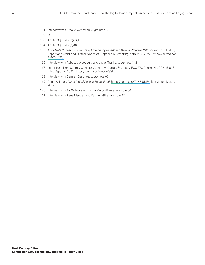<span id="page-47-0"></span>Interview with Brooke Weitzman, *supra* note 38.

- 47 U.S.C. § 1752(a)(7)(A).
- 47 U.S.C. § 1752(b)(8).
- Affordable Connectivity Program, Emergency Broadband Benefit Program, WC Docket No. 21-450, Report and Order and Further Notice of Proposed Rulemaking, para. 207 (2022), [https://perma.cc/](https://perma.cc/EMK2-JXEU) [EMK2-JXEU](https://perma.cc/EMK2-JXEU).
- Interview with Rebecca Woodbury and Javier Trujillo, *supra* note 142.
- Letter from Next Century Cities to Marlene H. Dortch, Secretary, FCC, WC Docket No. 20-445, at 3 (filed Sept. 14, 2021), [https://perma.cc/EFC6-Z8SU.](https://perma.cc/EFC6-Z8SU)
- Interview with Carmen Sanchez, *supra* note 60.
- Canal Alliance, *Canal Digital Access Equity Fund*, <https://perma.cc/TLN3-UNE4> (last visited Mar. 4, 2022).
- Interview with Air Gallegos and Lucia Martel-Dow, *supra* note 60.
- Interview with Rene Mendez and Carmen Gil, *supra* note 92.

*Id*.